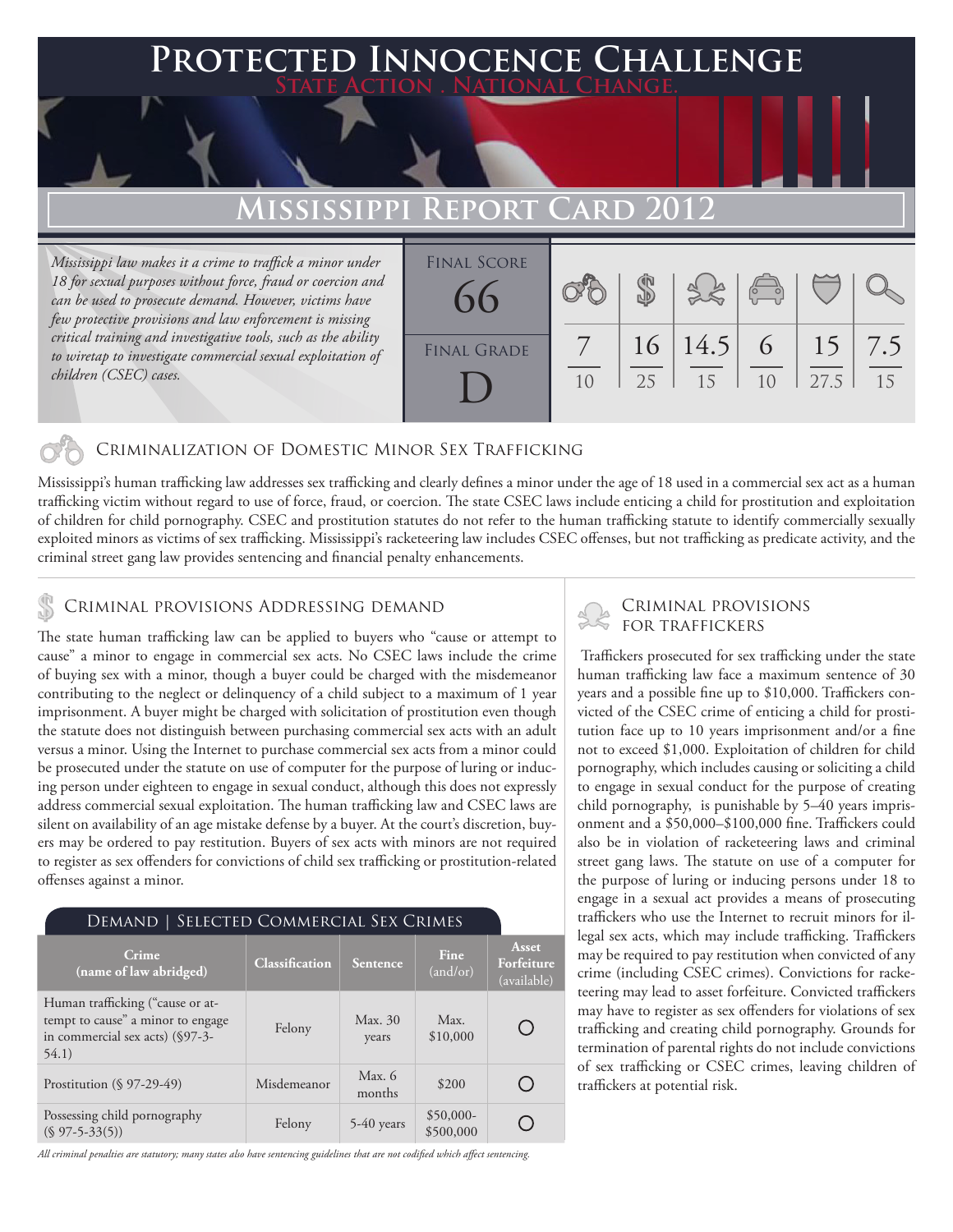### 'ed Innocence Challenge **State Action . National Change.**

## **MISSISSIPPI REPORT**

*Mississippi law makes it a crime to traffick a minor under 18 for sexual purposes without force, fraud or coercion and can be used to prosecute demand. However, victims have few protective provisions and law enforcement is missing critical training and investigative tools, such as the ability to wiretap to investigate commercial sexual exploitation of children (CSEC) cases.*

| <b>FINAL SCORE</b><br>66 |                |    | 38             | $\begin{pmatrix} 0 & 0 \\ 0 & 0 \end{pmatrix}$ |      |                     |
|--------------------------|----------------|----|----------------|------------------------------------------------|------|---------------------|
| <b>FINAL GRADE</b>       | 1 <sub>0</sub> | 25 | 16 14.5 <br>15 | 6<br>1 <sub>0</sub>                            | 27.5 | $15 \mid 7.5$<br>15 |

### Criminalization of Domestic Minor Sex Trafficking

Mississippi's human trafficking law addresses sex trafficking and clearly defines a minor under the age of 18 used in a commercial sex act as a human trafficking victim without regard to use of force, fraud, or coercion. The state CSEC laws include enticing a child for prostitution and exploitation of children for child pornography. CSEC and prostitution statutes do not refer to the human trafficking statute to identify commercially sexually exploited minors as victims of sex trafficking. Mississippi's racketeering law includes CSEC offenses, but not trafficking as predicate activity, and the criminal street gang law provides sentencing and financial penalty enhancements.

## CRIMINAL PROVISIONS ADDRESSING DEMAND<br>FOR TRAFFICKERS

The state human trafficking law can be applied to buyers who "cause or attempt to cause" a minor to engage in commercial sex acts. No CSEC laws include the crime of buying sex with a minor, though a buyer could be charged with the misdemeanor contributing to the neglect or delinquency of a child subject to a maximum of 1 year imprisonment. A buyer might be charged with solicitation of prostitution even though the statute does not distinguish between purchasing commercial sex acts with an adult versus a minor. Using the Internet to purchase commercial sex acts from a minor could be prosecuted under the statute on use of computer for the purpose of luring or inducing person under eighteen to engage in sexual conduct, although this does not expressly address commercial sexual exploitation. The human trafficking law and CSEC laws are silent on availability of an age mistake defense by a buyer. At the court's discretion, buyers may be ordered to pay restitution. Buyers of sex acts with minors are not required to register as sex offenders for convictions of child sex trafficking or prostitution-related offenses against a minor.

| DEMAND   SELECTED COMMERCIAL SEX CRIMES                                                                           |                |                    |                         |                                    |  |  |  |  |
|-------------------------------------------------------------------------------------------------------------------|----------------|--------------------|-------------------------|------------------------------------|--|--|--|--|
| Crime<br>(name of law abridged)                                                                                   | Classification | Sentence           | Fine<br>(and/or)        | Asset<br>Forfeiture<br>(available) |  |  |  |  |
| Human trafficking ("cause or at-<br>tempt to cause" a minor to engage<br>in commercial sex acts) (§97-3-<br>54.1) | Felony         | Max. 30<br>years   | Max.<br>\$10,000        |                                    |  |  |  |  |
| Prostitution $(\S 97-29-49)$                                                                                      | Misdemeanor    | Max. $6$<br>months | \$200                   |                                    |  |  |  |  |
| Possessing child pornography<br>$(S 97 - 5 - 33(5))$                                                              | Felony         | $5-40$ years       | $$50,000-$<br>\$500,000 |                                    |  |  |  |  |

*All criminal penalties are statutory; many states also have sentencing guidelines that are not codified which affect sentencing.* 

# Criminal provisions

 Traffickers prosecuted for sex trafficking under the state human trafficking law face a maximum sentence of 30 years and a possible fine up to \$10,000. Traffickers convicted of the CSEC crime of enticing a child for prostitution face up to 10 years imprisonment and/or a fine not to exceed \$1,000. Exploitation of children for child pornography, which includes causing or soliciting a child to engage in sexual conduct for the purpose of creating child pornography, is punishable by 5–40 years imprisonment and a \$50,000–\$100,000 fine. Traffickers could also be in violation of racketeering laws and criminal street gang laws. The statute on use of a computer for the purpose of luring or inducing persons under 18 to engage in a sexual act provides a means of prosecuting traffickers who use the Internet to recruit minors for illegal sex acts, which may include trafficking. Traffickers may be required to pay restitution when convicted of any crime (including CSEC crimes). Convictions for racketeering may lead to asset forfeiture. Convicted traffickers may have to register as sex offenders for violations of sex trafficking and creating child pornography. Grounds for termination of parental rights do not include convictions of sex trafficking or CSEC crimes, leaving children of traffickers at potential risk.